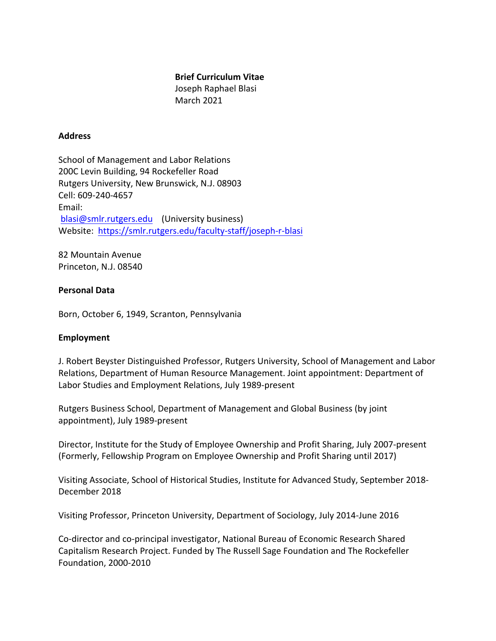#### **Brief Curriculum Vitae**

Joseph Raphael Blasi March 2021

## **Address**

School of Management and Labor Relations 200C Levin Building, 94 Rockefeller Road Rutgers University, New Brunswick, N.J. 08903 Cell: 609-240-4657 Email: blasi@smlr.rutgers.edu (University business) Website: https://smlr.rutgers.edu/faculty-staff/joseph-r-blasi

82 Mountain Avenue Princeton, N.J. 08540

### **Personal Data**

Born, October 6, 1949, Scranton, Pennsylvania

### **Employment**

J. Robert Beyster Distinguished Professor, Rutgers University, School of Management and Labor Relations, Department of Human Resource Management. Joint appointment: Department of Labor Studies and Employment Relations, July 1989-present

Rutgers Business School, Department of Management and Global Business (by joint appointment), July 1989-present

Director, Institute for the Study of Employee Ownership and Profit Sharing, July 2007-present (Formerly, Fellowship Program on Employee Ownership and Profit Sharing until 2017)

Visiting Associate, School of Historical Studies, Institute for Advanced Study, September 2018-December 2018

Visiting Professor, Princeton University, Department of Sociology, July 2014-June 2016

Co-director and co-principal investigator, National Bureau of Economic Research Shared Capitalism Research Project. Funded by The Russell Sage Foundation and The Rockefeller Foundation, 2000-2010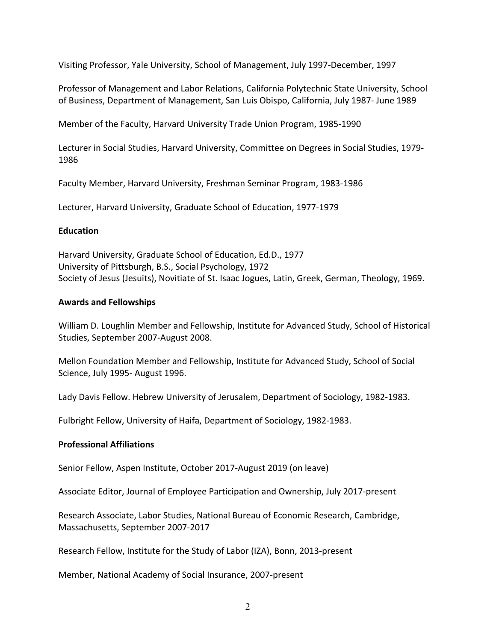Visiting Professor, Yale University, School of Management, July 1997-December, 1997

Professor of Management and Labor Relations, California Polytechnic State University, School of Business, Department of Management, San Luis Obispo, California, July 1987- June 1989

Member of the Faculty, Harvard University Trade Union Program, 1985-1990

Lecturer in Social Studies, Harvard University, Committee on Degrees in Social Studies, 1979-1986

Faculty Member, Harvard University, Freshman Seminar Program, 1983-1986

Lecturer, Harvard University, Graduate School of Education, 1977-1979

### **Education**

Harvard University, Graduate School of Education, Ed.D., 1977 University of Pittsburgh, B.S., Social Psychology, 1972 Society of Jesus (Jesuits), Novitiate of St. Isaac Jogues, Latin, Greek, German, Theology, 1969.

### **Awards and Fellowships**

William D. Loughlin Member and Fellowship, Institute for Advanced Study, School of Historical Studies, September 2007-August 2008.

Mellon Foundation Member and Fellowship, Institute for Advanced Study, School of Social Science, July 1995- August 1996.

Lady Davis Fellow. Hebrew University of Jerusalem, Department of Sociology, 1982-1983.

Fulbright Fellow, University of Haifa, Department of Sociology, 1982-1983.

### **Professional Affiliations**

Senior Fellow, Aspen Institute, October 2017-August 2019 (on leave)

Associate Editor, Journal of Employee Participation and Ownership, July 2017-present

Research Associate, Labor Studies, National Bureau of Economic Research, Cambridge, Massachusetts, September 2007-2017

Research Fellow, Institute for the Study of Labor (IZA), Bonn, 2013-present

Member, National Academy of Social Insurance, 2007-present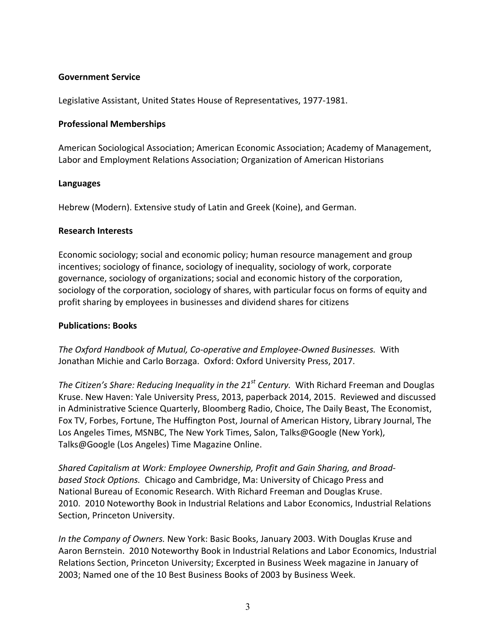## **Government Service**

Legislative Assistant, United States House of Representatives, 1977-1981.

### **Professional Memberships**

American Sociological Association; American Economic Association; Academy of Management, Labor and Employment Relations Association; Organization of American Historians

### **Languages**

Hebrew (Modern). Extensive study of Latin and Greek (Koine), and German.

#### **Research Interests**

Economic sociology; social and economic policy; human resource management and group incentives; sociology of finance, sociology of inequality, sociology of work, corporate governance, sociology of organizations; social and economic history of the corporation, sociology of the corporation, sociology of shares, with particular focus on forms of equity and profit sharing by employees in businesses and dividend shares for citizens

#### **Publications: Books**

The Oxford Handbook of Mutual, Co-operative and Employee-Owned Businesses. With Jonathan Michie and Carlo Borzaga. Oxford: Oxford University Press, 2017.

*The Citizen's Share: Reducing Inequality in the 21<sup>st</sup> Century.* With Richard Freeman and Douglas Kruse. New Haven: Yale University Press, 2013, paperback 2014, 2015. Reviewed and discussed in Administrative Science Quarterly, Bloomberg Radio, Choice, The Daily Beast, The Economist, Fox TV, Forbes, Fortune, The Huffington Post, Journal of American History, Library Journal, The Los Angeles Times, MSNBC, The New York Times, Salon, Talks@Google (New York), Talks@Google (Los Angeles) Time Magazine Online.

Shared Capitalism at Work: Employee Ownership, Profit and Gain Sharing, and Broad*based Stock Options.* Chicago and Cambridge, Ma: University of Chicago Press and National Bureau of Economic Research. With Richard Freeman and Douglas Kruse. 2010. 2010 Noteworthy Book in Industrial Relations and Labor Economics, Industrial Relations Section, Princeton University.

*In the Company of Owners.* New York: Basic Books, January 2003. With Douglas Kruse and Aaron Bernstein. 2010 Noteworthy Book in Industrial Relations and Labor Economics, Industrial Relations Section, Princeton University; Excerpted in Business Week magazine in January of 2003; Named one of the 10 Best Business Books of 2003 by Business Week.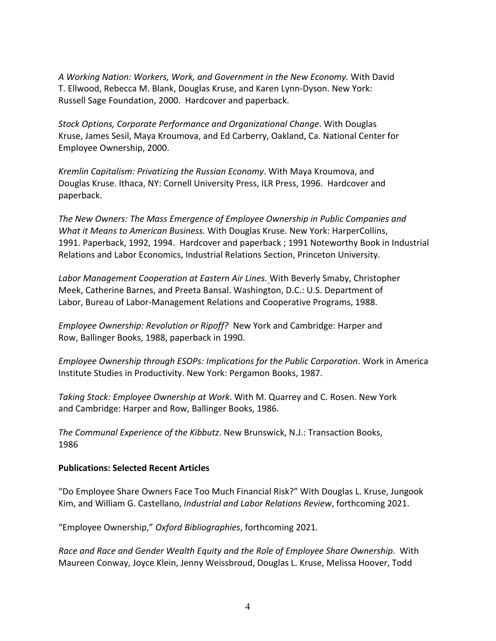*A Working Nation: Workers, Work, and Government in the New Economy.* With David T. Ellwood, Rebecca M. Blank, Douglas Kruse, and Karen Lynn-Dyson. New York: Russell Sage Foundation, 2000. Hardcover and paperback.

*Stock Options, Corporate Performance and Organizational Change*. With Douglas Kruse, James Sesil, Maya Kroumova, and Ed Carberry, Oakland, Ca. National Center for Employee Ownership, 2000.

*Kremlin Capitalism: Privatizing the Russian Economy.* With Maya Kroumova, and Douglas Kruse. Ithaca, NY: Cornell University Press, ILR Press, 1996. Hardcover and paperback. 

The New Owners: The Mass Emergence of Employee Ownership in Public Companies and *What it Means to American Business.* With Douglas Kruse. New York: HarperCollins, 1991. Paperback, 1992, 1994. Hardcover and paperback ; 1991 Noteworthy Book in Industrial Relations and Labor Economics, Industrial Relations Section, Princeton University.

Labor Management Cooperation at Eastern Air Lines. With Beverly Smaby, Christopher Meek, Catherine Barnes, and Preeta Bansal. Washington, D.C.: U.S. Department of Labor, Bureau of Labor-Management Relations and Cooperative Programs, 1988.

*Employee Ownership: Revolution or Ripoff?* New York and Cambridge: Harper and Row, Ballinger Books, 1988, paperback in 1990.

*Employee Ownership through ESOPs: Implications for the Public Corporation.* Work in America Institute Studies in Productivity. New York: Pergamon Books, 1987.

*Taking Stock: Employee Ownership at Work*. With M. Quarrey and C. Rosen. New York and Cambridge: Harper and Row, Ballinger Books, 1986.

The Communal Experience of the Kibbutz. New Brunswick, N.J.: Transaction Books, 1986

### **Publications: Selected Recent Articles**

"Do Employee Share Owners Face Too Much Financial Risk?" With Douglas L. Kruse, Jungook Kim, and William G. Castellano, *Industrial and Labor Relations Review*, forthcoming 2021.

"Employee Ownership," *Oxford Bibliographies*, forthcoming 2021.

*Race and Race and Gender Wealth Equity and the Role of Employee Share Ownership.* With Maureen Conway, Joyce Klein, Jenny Weissbroud, Douglas L. Kruse, Melissa Hoover, Todd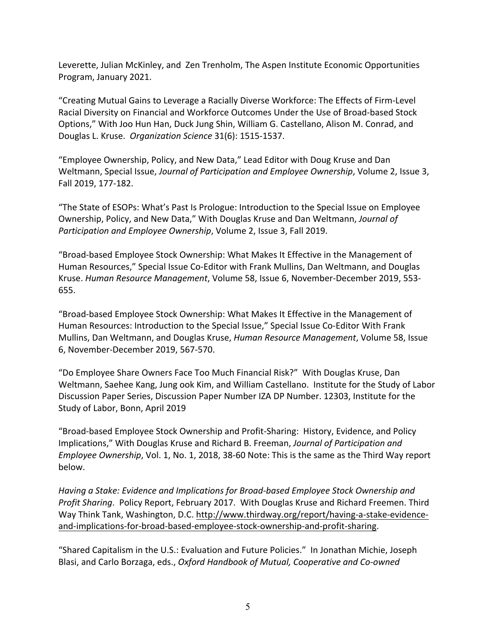Leverette, Julian McKinley, and Zen Trenholm, The Aspen Institute Economic Opportunities Program, January 2021.

"Creating Mutual Gains to Leverage a Racially Diverse Workforce: The Effects of Firm-Level Racial Diversity on Financial and Workforce Outcomes Under the Use of Broad-based Stock Options," With Joo Hun Han, Duck Jung Shin, William G. Castellano, Alison M. Conrad, and Douglas L. Kruse. *Organization Science* 31(6): 1515-1537.

"Employee Ownership, Policy, and New Data," Lead Editor with Doug Kruse and Dan Weltmann, Special Issue, *Journal of Participation and Employee Ownership*, Volume 2, Issue 3, Fall 2019, 177-182.

"The State of ESOPs: What's Past Is Prologue: Introduction to the Special Issue on Employee Ownership, Policy, and New Data," With Douglas Kruse and Dan Weltmann, *Journal of Participation and Employee Ownership*, Volume 2, Issue 3, Fall 2019.

"Broad-based Employee Stock Ownership: What Makes It Effective in the Management of Human Resources," Special Issue Co-Editor with Frank Mullins, Dan Weltmann, and Douglas Kruse. Human Resource Management, Volume 58, Issue 6, November-December 2019, 553-655.

"Broad-based Employee Stock Ownership: What Makes It Effective in the Management of Human Resources: Introduction to the Special Issue," Special Issue Co-Editor With Frank Mullins, Dan Weltmann, and Douglas Kruse, *Human Resource Management*, Volume 58, Issue 6, November-December 2019, 567-570.

"Do Employee Share Owners Face Too Much Financial Risk?" With Douglas Kruse, Dan Weltmann, Saehee Kang, Jung ook Kim, and William Castellano. Institute for the Study of Labor Discussion Paper Series, Discussion Paper Number IZA DP Number. 12303, Institute for the Study of Labor, Bonn, April 2019

"Broad-based Employee Stock Ownership and Profit-Sharing: History, Evidence, and Policy Implications," With Douglas Kruse and Richard B. Freeman, *Journal of Participation and Employee Ownership*, Vol. 1, No. 1, 2018, 38-60 Note: This is the same as the Third Way report below.

Having a Stake: Evidence and Implications for Broad-based Employee Stock Ownership and Profit Sharing. Policy Report, February 2017. With Douglas Kruse and Richard Freemen. Third Way Think Tank, Washington, D.C. http://www.thirdway.org/report/having-a-stake-evidenceand-implications-for-broad-based-employee-stock-ownership-and-profit-sharing. 

"Shared Capitalism in the U.S.: Evaluation and Future Policies." In Jonathan Michie, Joseph Blasi, and Carlo Borzaga, eds., *Oxford Handbook of Mutual, Cooperative and Co-owned*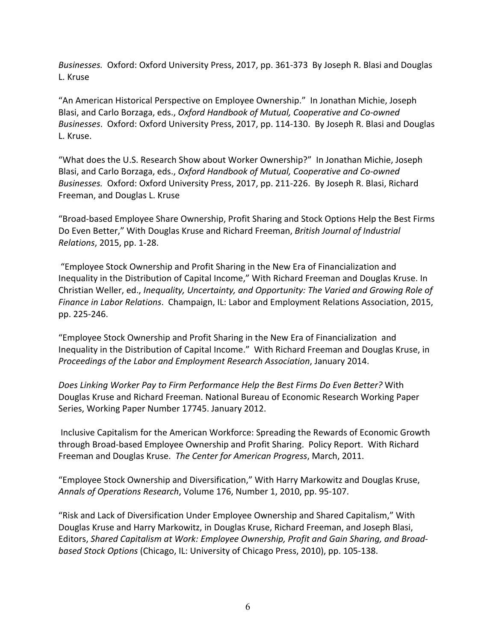*Businesses.* Oxford: Oxford University Press, 2017, pp. 361-373 By Joseph R. Blasi and Douglas L. Kruse

"An American Historical Perspective on Employee Ownership." In Jonathan Michie, Joseph Blasi, and Carlo Borzaga, eds., *Oxford Handbook of Mutual, Cooperative and Co-owned Businesses*. Oxford: Oxford University Press, 2017, pp. 114-130. By Joseph R. Blasi and Douglas L. Kruse.

"What does the U.S. Research Show about Worker Ownership?" In Jonathan Michie, Joseph Blasi, and Carlo Borzaga, eds., *Oxford Handbook of Mutual, Cooperative and Co-owned Businesses.* Oxford: Oxford University Press, 2017, pp. 211-226. By Joseph R. Blasi, Richard Freeman, and Douglas L. Kruse

"Broad-based Employee Share Ownership, Profit Sharing and Stock Options Help the Best Firms Do Even Better," With Douglas Kruse and Richard Freeman, *British Journal of Industrial Relations*, 2015, pp. 1-28.

"Employee Stock Ownership and Profit Sharing in the New Era of Financialization and Inequality in the Distribution of Capital Income," With Richard Freeman and Douglas Kruse. In Christian Weller, ed., *Inequality, Uncertainty, and Opportunity: The Varied and Growing Role of Finance in Labor Relations.* Champaign, IL: Labor and Employment Relations Association, 2015, pp. 225-246. 

"Employee Stock Ownership and Profit Sharing in the New Era of Financialization and Inequality in the Distribution of Capital Income." With Richard Freeman and Douglas Kruse, in *Proceedings of the Labor and Employment Research Association, January 2014.* 

*Does Linking Worker Pay to Firm Performance Help the Best Firms Do Even Better?* With Douglas Kruse and Richard Freeman. National Bureau of Economic Research Working Paper Series, Working Paper Number 17745. January 2012.

Inclusive Capitalism for the American Workforce: Spreading the Rewards of Economic Growth through Broad-based Employee Ownership and Profit Sharing. Policy Report. With Richard Freeman and Douglas Kruse. The Center for American Progress, March, 2011.

"Employee Stock Ownership and Diversification," With Harry Markowitz and Douglas Kruse, *Annals of Operations Research*, Volume 176, Number 1, 2010, pp. 95-107.

"Risk and Lack of Diversification Under Employee Ownership and Shared Capitalism," With Douglas Kruse and Harry Markowitz, in Douglas Kruse, Richard Freeman, and Joseph Blasi, Editors, *Shared Capitalism at Work: Employee Ownership, Profit and Gain Sharing, and Broadbased Stock Options* (Chicago, IL: University of Chicago Press, 2010), pp. 105-138.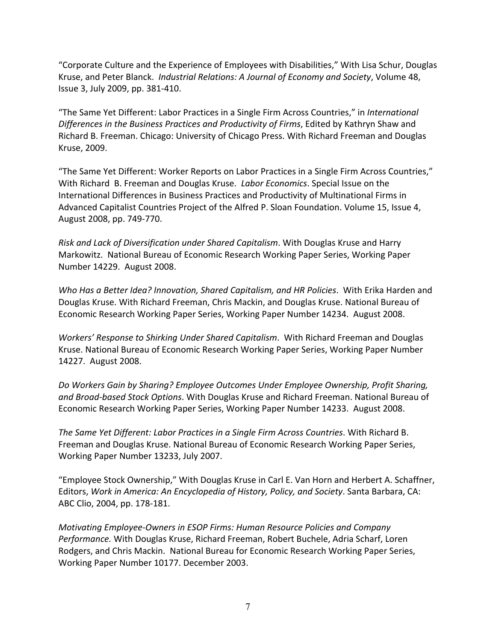"Corporate Culture and the Experience of Employees with Disabilities," With Lisa Schur, Douglas Kruse, and Peter Blanck. *Industrial Relations: A Journal of Economy and Society*, Volume 48, Issue 3, July 2009, pp. 381-410.

"The Same Yet Different: Labor Practices in a Single Firm Across Countries," in *International* Differences in the Business Practices and Productivity of Firms, Edited by Kathryn Shaw and Richard B. Freeman. Chicago: University of Chicago Press. With Richard Freeman and Douglas Kruse, 2009.

"The Same Yet Different: Worker Reports on Labor Practices in a Single Firm Across Countries," With Richard B. Freeman and Douglas Kruse. *Labor Economics*. Special Issue on the International Differences in Business Practices and Productivity of Multinational Firms in Advanced Capitalist Countries Project of the Alfred P. Sloan Foundation. Volume 15, Issue 4, August 2008, pp. 749-770.

*Risk and Lack of Diversification under Shared Capitalism.* With Douglas Kruse and Harry Markowitz. National Bureau of Economic Research Working Paper Series, Working Paper Number 14229. August 2008.

*Who Has a Better Idea? Innovation, Shared Capitalism, and HR Policies.* With Erika Harden and Douglas Kruse. With Richard Freeman, Chris Mackin, and Douglas Kruse. National Bureau of Economic Research Working Paper Series, Working Paper Number 14234. August 2008.

*Workers' Response to Shirking Under Shared Capitalism.* With Richard Freeman and Douglas Kruse. National Bureau of Economic Research Working Paper Series, Working Paper Number 14227. August 2008.

Do Workers Gain by Sharing? Employee Outcomes Under Employee Ownership, Profit Sharing, and Broad-based Stock Options. With Douglas Kruse and Richard Freeman. National Bureau of Economic Research Working Paper Series, Working Paper Number 14233. August 2008.

The Same Yet Different: Labor Practices in a Single Firm Across Countries. With Richard B. Freeman and Douglas Kruse. National Bureau of Economic Research Working Paper Series, Working Paper Number 13233, July 2007.

"Employee Stock Ownership," With Douglas Kruse in Carl E. Van Horn and Herbert A. Schaffner, Editors, Work in America: An Encyclopedia of History, Policy, and Society. Santa Barbara, CA: ABC Clio, 2004, pp. 178-181.

*Motivating Employee-Owners in ESOP Firms: Human Resource Policies and Company Performance*. With Douglas Kruse, Richard Freeman, Robert Buchele, Adria Scharf, Loren Rodgers, and Chris Mackin. National Bureau for Economic Research Working Paper Series, Working Paper Number 10177. December 2003.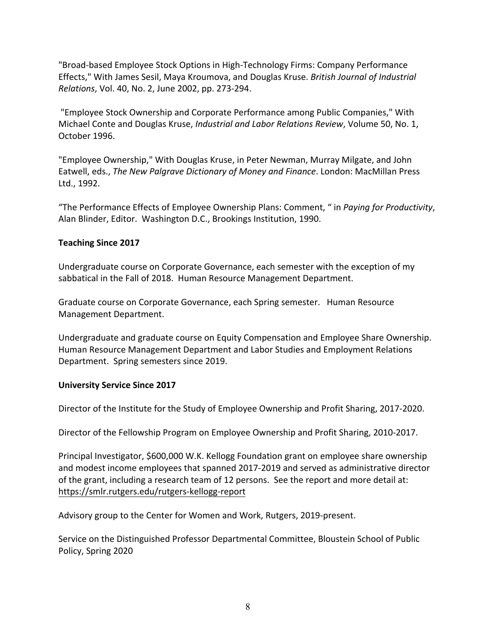"Broad-based Employee Stock Options in High-Technology Firms: Company Performance Effects," With James Sesil, Maya Kroumova, and Douglas Kruse. *British Journal of Industrial Relations*, Vol. 40, No. 2, June 2002, pp. 273-294.

"Employee Stock Ownership and Corporate Performance among Public Companies," With Michael Conte and Douglas Kruse, *Industrial and Labor Relations Review*, Volume 50, No. 1, October 1996.

"Employee Ownership," With Douglas Kruse, in Peter Newman, Murray Milgate, and John Eatwell, eds., *The New Palgrave Dictionary of Money and Finance*. London: MacMillan Press Ltd., 1992.

"The Performance Effects of Employee Ownership Plans: Comment, " in *Paying for Productivity*, Alan Blinder, Editor. Washington D.C., Brookings Institution, 1990.

# **Teaching Since 2017**

Undergraduate course on Corporate Governance, each semester with the exception of my sabbatical in the Fall of 2018. Human Resource Management Department.

Graduate course on Corporate Governance, each Spring semester. Human Resource Management Department.

Undergraduate and graduate course on Equity Compensation and Employee Share Ownership. Human Resource Management Department and Labor Studies and Employment Relations Department. Spring semesters since 2019.

### **University Service Since 2017**

Director of the Institute for the Study of Employee Ownership and Profit Sharing, 2017-2020.

Director of the Fellowship Program on Employee Ownership and Profit Sharing, 2010-2017.

Principal Investigator, \$600,000 W.K. Kellogg Foundation grant on employee share ownership and modest income employees that spanned 2017-2019 and served as administrative director of the grant, including a research team of 12 persons. See the report and more detail at: https://smlr.rutgers.edu/rutgers-kellogg-report

Advisory group to the Center for Women and Work, Rutgers, 2019-present.

Service on the Distinguished Professor Departmental Committee, Bloustein School of Public Policy, Spring 2020